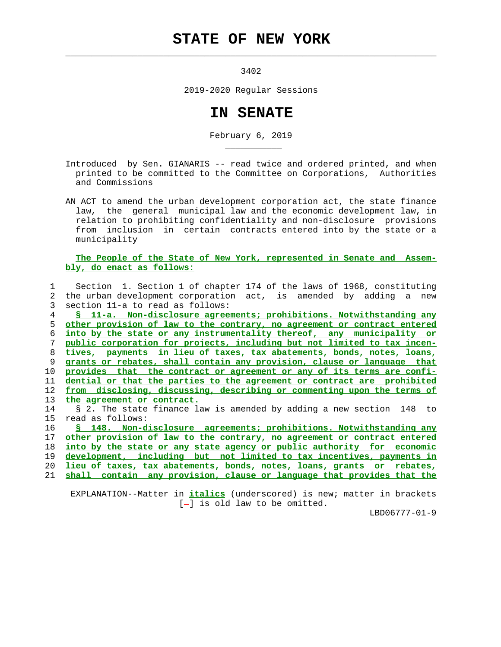## **STATE OF NEW YORK**

 $\mathcal{L}_\text{max} = \frac{1}{2} \sum_{i=1}^{n} \frac{1}{2} \sum_{i=1}^{n} \frac{1}{2} \sum_{i=1}^{n} \frac{1}{2} \sum_{i=1}^{n} \frac{1}{2} \sum_{i=1}^{n} \frac{1}{2} \sum_{i=1}^{n} \frac{1}{2} \sum_{i=1}^{n} \frac{1}{2} \sum_{i=1}^{n} \frac{1}{2} \sum_{i=1}^{n} \frac{1}{2} \sum_{i=1}^{n} \frac{1}{2} \sum_{i=1}^{n} \frac{1}{2} \sum_{i=1}^{n} \frac{1$ 

\_\_\_\_\_\_\_\_\_\_\_

3402

2019-2020 Regular Sessions

## **IN SENATE**

February 6, 2019

 Introduced by Sen. GIANARIS -- read twice and ordered printed, and when printed to be committed to the Committee on Corporations, Authorities and Commissions

 AN ACT to amend the urban development corporation act, the state finance law, the general municipal law and the economic development law, in relation to prohibiting confidentiality and non-disclosure provisions from inclusion in certain contracts entered into by the state or a municipality

 **The People of the State of New York, represented in Senate and Assem bly, do enact as follows:**

 1 Section 1. Section 1 of chapter 174 of the laws of 1968, constituting 2 the urban development corporation act, is amended by adding a new 3 section 11-a to read as follows:

**§ 11-a. Non-disclosure agreements; prohibitions. Notwithstanding any other provision of law to the contrary, no agreement or contract entered into by the state or any instrumentality thereof, any municipality or public corporation for projects, including but not limited to tax incen- tives, payments in lieu of taxes, tax abatements, bonds, notes, loans, grants or rebates, shall contain any provision, clause or language that provides that the contract or agreement or any of its terms are confi- dential or that the parties to the agreement or contract are prohibited from disclosing, discussing, describing or commenting upon the terms of the agreement or contract.**

 14 § 2. The state finance law is amended by adding a new section 148 to 15 read as follows:

**§ 148. Non-disclosure agreements; prohibitions. Notwithstanding any other provision of law to the contrary, no agreement or contract entered into by the state or any state agency or public authority for economic development, including but not limited to tax incentives, payments in lieu of taxes, tax abatements, bonds, notes, loans, grants or rebates,**

21 **shall contain any provision, clause or language that provides that the**

 EXPLANATION--Matter in **italics** (underscored) is new; matter in brackets  $[-]$  is old law to be omitted.

LBD06777-01-9